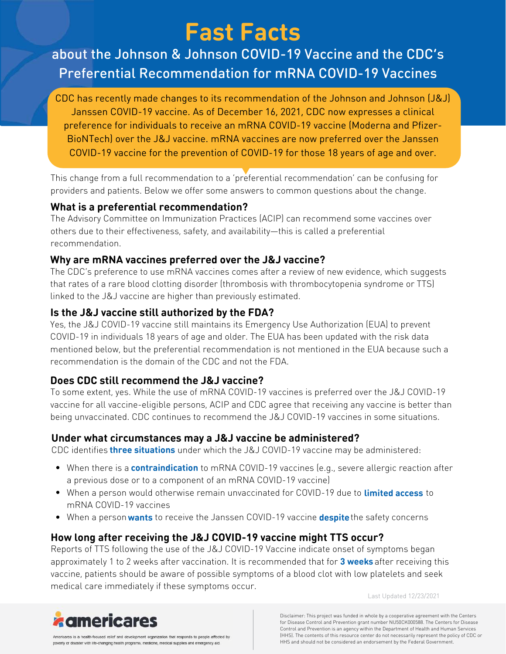# **Fast Facts**

# about the Johnson & Johnson COVID-19 Vaccine and the CDC's Preferential Recommendation for mRNA COVID-19 Vaccines

CDC has recently made changes to its recommendation of the Johnson and Johnson (J&J) Janssen COVID-19 vaccine. As of December 16, 2021, CDC now expresses a clinical preference for individuals to receive an mRNA COVID-19 vaccine (Moderna and Pfizer-BioNTech) over the J&J vaccine. mRNA vaccines are now preferred over the Janssen COVID-19 vaccine for the prevention of COVID-19 for those 18 years of age and over.

This change from a full recommendation to a 'preferential recommendation' can be confusing for providers and patients. Below we offer some answers to common questions about the change.

### **What is a preferential recommendation?**

The Advisory Committee on Immunization Practices (ACIP) can recommend some vaccines over others due to their effectiveness, safety, and availability—this is called a preferential recommendation.

# **Why are mRNA vaccines preferred over the J&J vaccine?**

The CDC's preference to use mRNA vaccines comes after a review of new evidence, which suggests that rates of a rare blood clotting disorder (thrombosis with thrombocytopenia syndrome or TTS) linked to the J&J vaccine are higher than previously estimated.

# **Is the J&J vaccine still authorized by the FDA?**

Yes, the J&J COVID-19 vaccine still maintains its Emergency Use Authorization (EUA) to prevent COVID-19 in individuals 18 years of age and older. The EUA has been updated with the risk data mentioned below, but the preferential recommendation is not mentioned in the EUA because such a recommendation is the domain of the CDC and not the FDA.

# **Does CDC still recommend the J&J vaccine?**

To some extent, yes. While the use of mRNA COVID-19 vaccines is preferred over the J&J COVID-19 vaccine for all vaccine-eligible persons, ACIP and CDC agree that receiving any vaccine is better than being unvaccinated. CDC continues to recommend the J&J COVID-19 vaccines in some situations.

# **Under what circumstances may a J&J vaccine be administered?**

CDC identifies three situations under which the J&J COVID-19 vaccine may be administered: **three situations**

- When there is a **contraindication** to mRNA COVID-19 vaccines (e.g., severe allergic reaction after a previous dose or to a component of an mRNA COVID-19 vaccine)
- When a person would otherwise remain unvaccinated for COVID-19 due to limited access to **limited access** mRNA COVID-19 vaccines
- When a person wants to receive the Janssen COVID-19 vaccine despite the safety concerns

# **How long after receiving the J&J COVID-19 vaccine might TTS occur?**

Reports of TTS following the use of the J&J COVID-19 Vaccine indicate onset of symptoms began approximately 1 to 2 weeks after vaccination. It is recommended that for 3 weeks after receiving this **3 weeks** vaccine, patients should be aware of possible symptoms of a blood clot with low platelets and seek medical care immediately if these symptoms occur.

Last Updated 12/23/2021



Disclaimer: This project was funded in whole by a cooperative agreement with the Centers for Disease Control and Prevention grant number NU50CK000588. The Centers for Disease Control and Prevention is an agency within the Department of Health and Human Services (HHS). The contents of this resource center do not necessarily represent the policy of CDC or HHS and should not be considered an endorsement by the Federal Government.

Americares is a health-focused relief and development organization that responds to people affected by poverty or disaster with life-changing health programs, medicine, medical supplies and emergency aid.